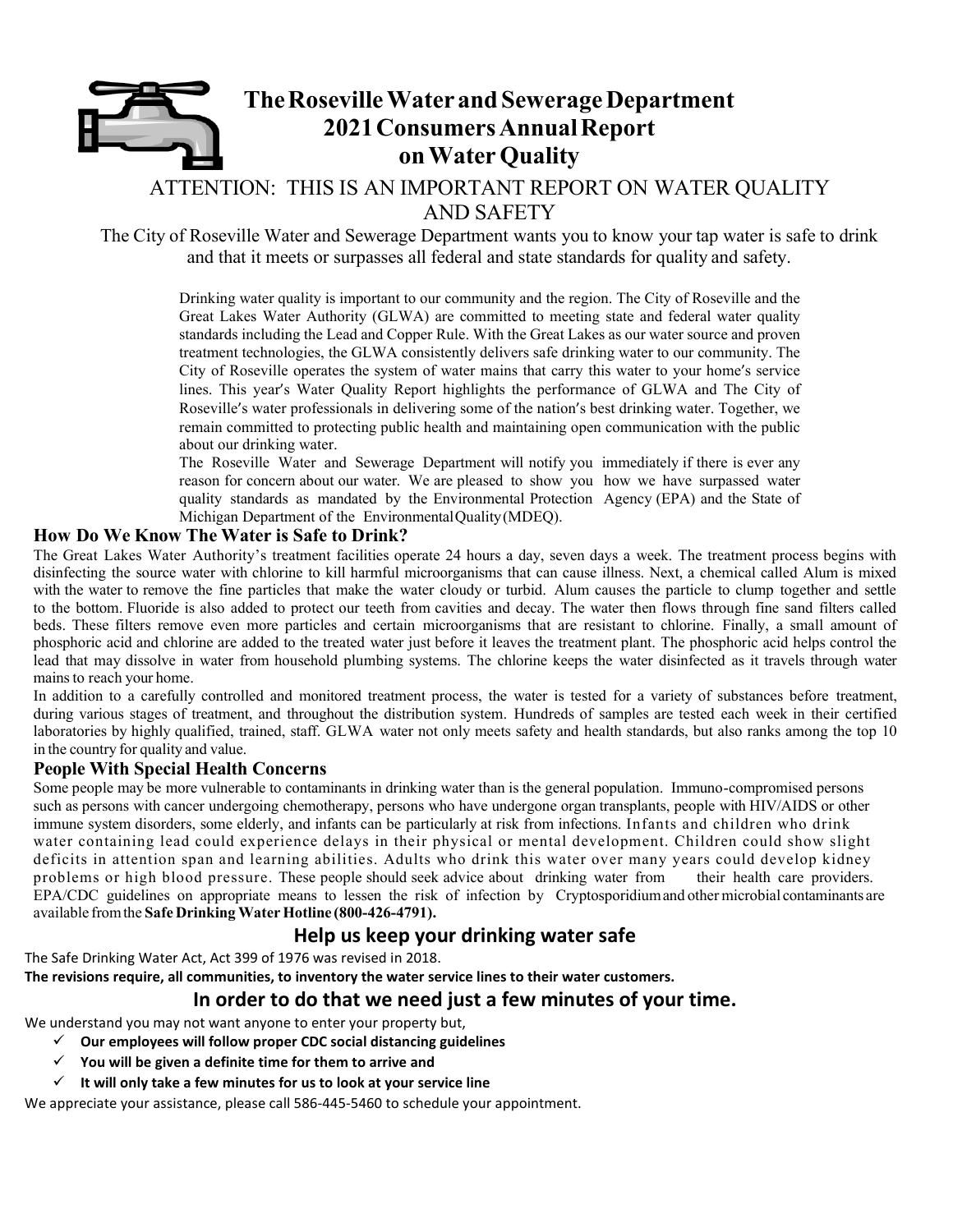# **TheRosevilleWaterandSewerageDepartment 2021ConsumersAnnualReport onWaterQuality** ATTENTION: THIS IS AN IMPORTANT REPORT ON WATER QUALITY

AND SAFETY

The City of Roseville Water and Sewerage Department wants you to know your tap water is safe to drink and that it meets or surpasses all federal and state standards for quality and safety.

Drinking water quality is important to our community and the region. The City of Roseville and the Great Lakes Water Authority (GLWA) are committed to meeting state and federal water quality standards including the Lead and Copper Rule. With the Great Lakes as our water source and proven treatment technologies, the GLWA consistently delivers safe drinking water to our community. The City of Roseville operates the system of water mains that carry this water to your home's service lines. This year's Water Quality Report highlights the performance of GLWA and The City of Roseville's water professionals in delivering some of the nation's best drinking water. Together, we remain committed to protecting public health and maintaining open communication with the public about our drinking water.

The Roseville Water and Sewerage Department will notify you immediately if there is ever any reason for concern about our water. We are pleased to show you how we have surpassed water quality standards as mandated by the Environmental Protection Agency (EPA) and the State of Michigan Department of the EnvironmentalQuality(MDEQ).

### **How Do We Know The Water is Safe to Drink?**

The Great Lakes Water Authority's treatment facilities operate 24 hours a day, seven days a week. The treatment process begins with disinfecting the source water with chlorine to kill harmful microorganisms that can cause illness. Next, a chemical called Alum is mixed with the water to remove the fine particles that make the water cloudy or turbid. Alum causes the particle to clump together and settle to the bottom. Fluoride is also added to protect our teeth from cavities and decay. The water then flows through fine sand filters called beds. These filters remove even more particles and certain microorganisms that are resistant to chlorine. Finally, a small amount of phosphoric acid and chlorine are added to the treated water just before it leaves the treatment plant. The phosphoric acid helps control the lead that may dissolve in water from household plumbing systems. The chlorine keeps the water disinfected as it travels through water mainsto reach your home.

In addition to a carefully controlled and monitored treatment process, the water is tested for a variety of substances before treatment, during various stages of treatment, and throughout the distribution system. Hundreds of samples are tested each week in their certified laboratories by highly qualified, trained, staff. GLWA water not only meets safety and health standards, but also ranks among the top 10 in the country for quality and value.

### **People With Special Health Concerns**

Some people may be more vulnerable to contaminants in drinking water than is the general population. Immuno-compromised persons such as persons with cancer undergoing chemotherapy, persons who have undergone organ transplants, people with HIV/AIDS or other immune system disorders, some elderly, and infants can be particularly at risk from infections. Infants and children who drink water containing lead could experience delays in their physical or mental development. Children could show slight deficits in attention span and learning abilities. Adults who drink this water over many years could develop kidney problems or high blood pressure. These people should seek advice about drinking water from their health care providers. EPA/CDC guidelines on appropriate means to lessen the risk of infection by Cryptosporidiumand other microbial contaminants are available fromthe **Safe Drinking WaterHotline (800-426-4791).**

# **Help us keep your drinking water safe**

The Safe Drinking Water Act, Act 399 of 1976 was revised in 2018.

**The revisions require, all communities, to inventory the water service lines to their water customers.**

## **In order to do that we need just a few minutes of your time.**

We understand you may not want anyone to enter your property but,

- **Our employees will follow proper CDC social distancing guidelines**
- **You will be given a definite time for them to arrive and**
- **It will only take a few minutes for us to look at your service line**

We appreciate your assistance, please call 586-445-5460 to schedule your appointment.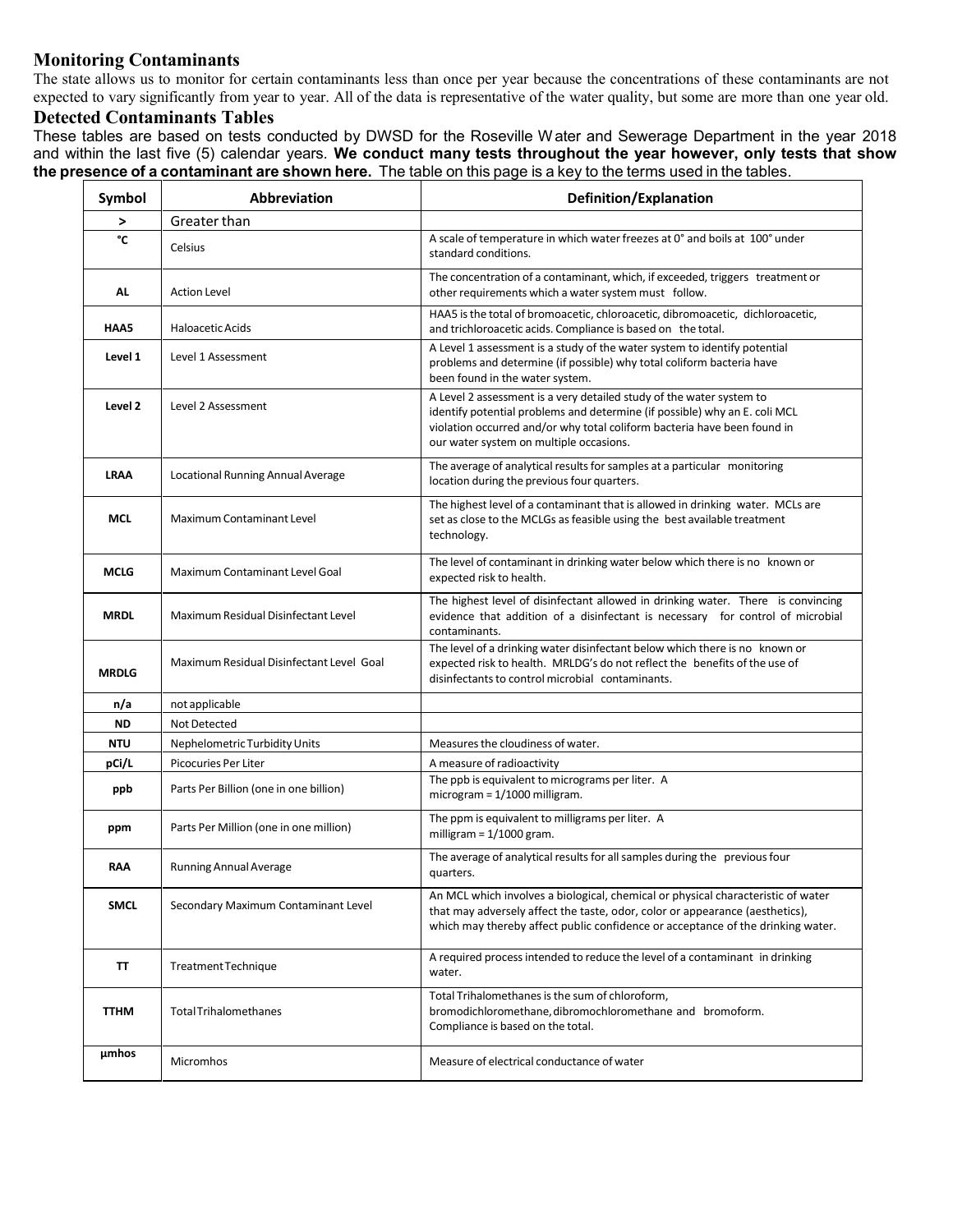## **Monitoring Contaminants**

The state allows us to monitor for certain contaminants less than once per year because the concentrations of these contaminants are not expected to vary significantly from year to year. All of the data is representative of the water quality, but some are more than one year old.

#### **Detected Contaminants Tables**

These tables are based on tests conducted by DWSD for the Roseville Water and Sewerage Department in the year 2018 and within the last five (5) calendar years. **We conduct many tests throughout the year however, only tests that show the presence of a contaminant are shown here.** The table on this page is a key to the terms used in the tables.

| Symbol       | <b>Abbreviation</b>                      | Definition/Explanation                                                                                                                                                                                                                                                    |  |  |  |  |  |
|--------------|------------------------------------------|---------------------------------------------------------------------------------------------------------------------------------------------------------------------------------------------------------------------------------------------------------------------------|--|--|--|--|--|
| >            | Greater than                             |                                                                                                                                                                                                                                                                           |  |  |  |  |  |
| °C           | Celsius                                  | A scale of temperature in which water freezes at 0° and boils at 100° under<br>standard conditions.                                                                                                                                                                       |  |  |  |  |  |
| AL           | <b>Action Level</b>                      | The concentration of a contaminant, which, if exceeded, triggers treatment or<br>other requirements which a water system must follow.                                                                                                                                     |  |  |  |  |  |
| HAA5         | Haloacetic Acids                         | HAA5 is the total of bromoacetic, chloroacetic, dibromoacetic, dichloroacetic,<br>and trichloroacetic acids. Compliance is based on the total.                                                                                                                            |  |  |  |  |  |
| Level 1      | Level 1 Assessment                       | A Level 1 assessment is a study of the water system to identify potential<br>problems and determine (if possible) why total coliform bacteria have<br>been found in the water system.                                                                                     |  |  |  |  |  |
| Level 2      | Level 2 Assessment                       | A Level 2 assessment is a very detailed study of the water system to<br>identify potential problems and determine (if possible) why an E. coli MCL<br>violation occurred and/or why total coliform bacteria have been found in<br>our water system on multiple occasions. |  |  |  |  |  |
| <b>LRAA</b>  | Locational Running Annual Average        | The average of analytical results for samples at a particular monitoring<br>location during the previous four quarters.                                                                                                                                                   |  |  |  |  |  |
| <b>MCL</b>   | Maximum Contaminant Level                | The highest level of a contaminant that is allowed in drinking water. MCLs are<br>set as close to the MCLGs as feasible using the best available treatment<br>technology.                                                                                                 |  |  |  |  |  |
| <b>MCLG</b>  | Maximum Contaminant Level Goal           | The level of contaminant in drinking water below which there is no known or<br>expected risk to health.                                                                                                                                                                   |  |  |  |  |  |
| <b>MRDL</b>  | Maximum Residual Disinfectant Level      | The highest level of disinfectant allowed in drinking water. There is convincing<br>evidence that addition of a disinfectant is necessary for control of microbial<br>contaminants.                                                                                       |  |  |  |  |  |
| <b>MRDLG</b> | Maximum Residual Disinfectant Level Goal | The level of a drinking water disinfectant below which there is no known or<br>expected risk to health. MRLDG's do not reflect the benefits of the use of<br>disinfectants to control microbial contaminants.                                                             |  |  |  |  |  |
| n/a          | not applicable                           |                                                                                                                                                                                                                                                                           |  |  |  |  |  |
| <b>ND</b>    | Not Detected                             |                                                                                                                                                                                                                                                                           |  |  |  |  |  |
| <b>NTU</b>   | Nephelometric Turbidity Units            | Measures the cloudiness of water.                                                                                                                                                                                                                                         |  |  |  |  |  |
| pCi/L        | Picocuries Per Liter                     | A measure of radioactivity                                                                                                                                                                                                                                                |  |  |  |  |  |
| ppb          | Parts Per Billion (one in one billion)   | The ppb is equivalent to micrograms per liter. A<br>microgram = $1/1000$ milligram.                                                                                                                                                                                       |  |  |  |  |  |
| ppm          | Parts Per Million (one in one million)   | The ppm is equivalent to milligrams per liter. A<br>milligram = $1/1000$ gram.                                                                                                                                                                                            |  |  |  |  |  |
| <b>RAA</b>   | <b>Running Annual Average</b>            | The average of analytical results for all samples during the previous four<br>quarters.                                                                                                                                                                                   |  |  |  |  |  |
| <b>SMCL</b>  | Secondary Maximum Contaminant Level      | An MCL which involves a biological, chemical or physical characteristic of water<br>that may adversely affect the taste, odor, color or appearance (aesthetics),<br>which may thereby affect public confidence or acceptance of the drinking water.                       |  |  |  |  |  |
| π            | TreatmentTechnique                       | A required process intended to reduce the level of a contaminant in drinking<br>water.                                                                                                                                                                                    |  |  |  |  |  |
| TTHM         | <b>Total Trihalomethanes</b>             | Total Trihalomethanes is the sum of chloroform,<br>bromodichloromethane, dibromochloromethane and bromoform.<br>Compliance is based on the total.                                                                                                                         |  |  |  |  |  |
| µmhos        | Micromhos                                | Measure of electrical conductance of water                                                                                                                                                                                                                                |  |  |  |  |  |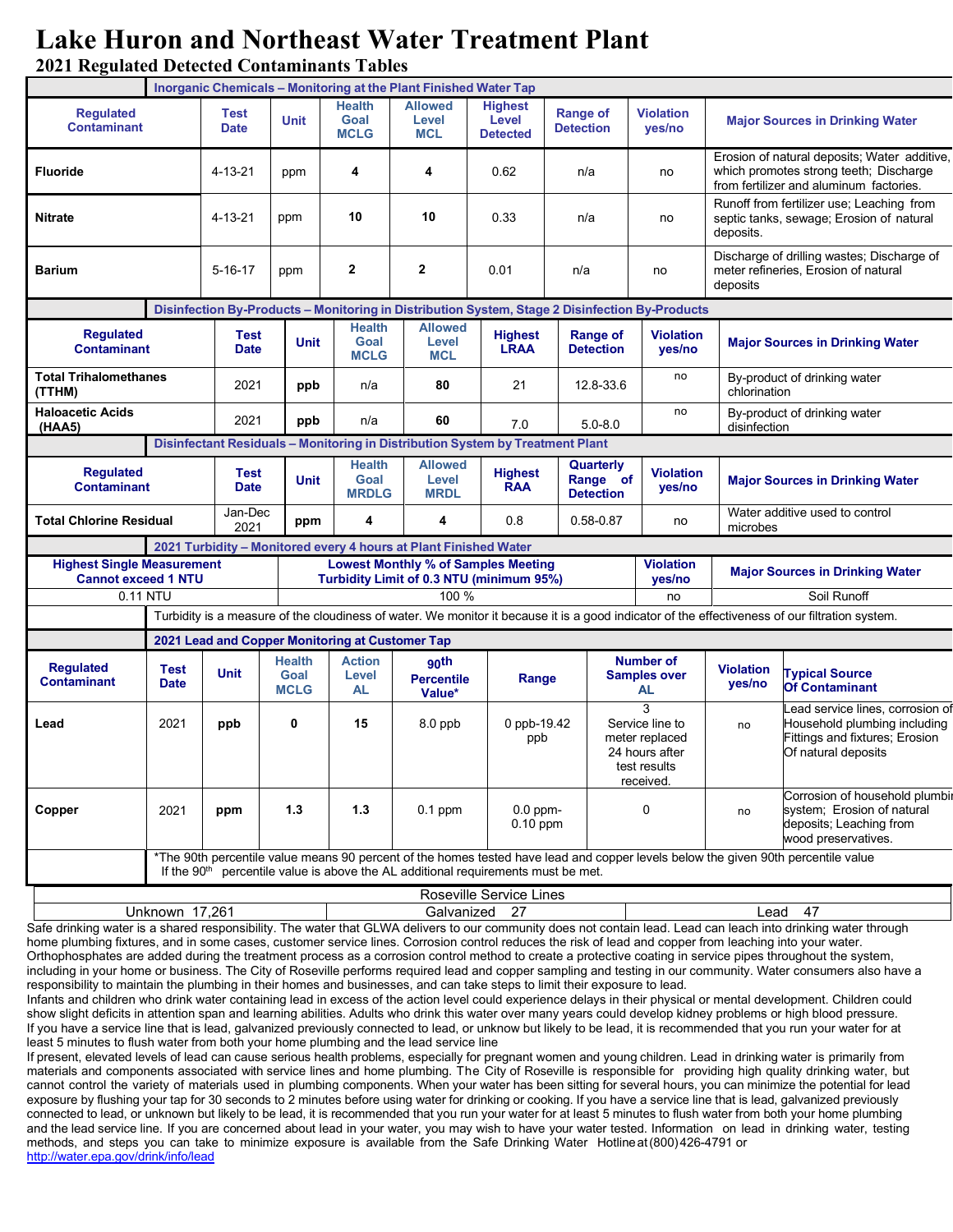# **Lake Huron and Northeast Water Treatment Plant 2021 Regulated Detected Contaminants Tables**

| <b>Inorganic Chemicals - Monitoring at the Plant Finished Water Tap</b> |                            |                                                 |                                      |                                                                                                                                                               |                                                                                                |                                            |                                           |                                                                                       |                                               |                                                                                                                                |                                                                                                                                   |
|-------------------------------------------------------------------------|----------------------------|-------------------------------------------------|--------------------------------------|---------------------------------------------------------------------------------------------------------------------------------------------------------------|------------------------------------------------------------------------------------------------|--------------------------------------------|-------------------------------------------|---------------------------------------------------------------------------------------|-----------------------------------------------|--------------------------------------------------------------------------------------------------------------------------------|-----------------------------------------------------------------------------------------------------------------------------------|
| <b>Regulated</b><br><b>Contaminant</b>                                  |                            | <b>Test</b><br><b>Date</b>                      | <b>Unit</b>                          | <b>Health</b><br>Goal<br><b>MCLG</b>                                                                                                                          | <b>Allowed</b><br>Level<br><b>MCL</b>                                                          | <b>Highest</b><br>Level<br><b>Detected</b> | <b>Range of</b><br><b>Detection</b>       |                                                                                       | <b>Violation</b><br>yes/no                    |                                                                                                                                | <b>Major Sources in Drinking Water</b>                                                                                            |
| <b>Fluoride</b>                                                         |                            | 4-13-21                                         | ppm                                  | 4                                                                                                                                                             | 4                                                                                              | 0.62                                       | n/a                                       |                                                                                       | no                                            |                                                                                                                                | Erosion of natural deposits; Water additive,<br>which promotes strong teeth; Discharge<br>from fertilizer and aluminum factories. |
| <b>Nitrate</b>                                                          |                            | 4-13-21                                         | ppm                                  | 10                                                                                                                                                            | 10                                                                                             | 0.33                                       | n/a                                       |                                                                                       | no                                            | deposits.                                                                                                                      | Runoff from fertilizer use; Leaching from<br>septic tanks, sewage; Erosion of natural                                             |
| <b>Barium</b>                                                           |                            | $5 - 16 - 17$                                   | ppm                                  | 2                                                                                                                                                             | $\mathbf{2}$                                                                                   | 0.01                                       | n/a                                       |                                                                                       | no                                            | Discharge of drilling wastes; Discharge of<br>meter refineries, Erosion of natural<br>deposits                                 |                                                                                                                                   |
|                                                                         |                            |                                                 |                                      |                                                                                                                                                               | Disinfection By-Products - Monitoring in Distribution System, Stage 2 Disinfection By-Products |                                            |                                           |                                                                                       |                                               |                                                                                                                                |                                                                                                                                   |
| <b>Regulated</b><br><b>Contaminant</b>                                  |                            | <b>Test</b><br><b>Date</b>                      | <b>Unit</b>                          | <b>Health</b><br>Goal<br><b>MCLG</b>                                                                                                                          | <b>Allowed</b><br>Level<br><b>MCL</b>                                                          | <b>Highest</b><br><b>LRAA</b>              | <b>Range of</b><br><b>Detection</b>       |                                                                                       | <b>Violation</b><br>yes/no                    |                                                                                                                                | <b>Major Sources in Drinking Water</b>                                                                                            |
| <b>Total Trihalomethanes</b><br>(TTHM)                                  |                            | 2021                                            | ppb                                  | n/a                                                                                                                                                           | 80                                                                                             | 21                                         | 12.8-33.6                                 |                                                                                       | no                                            | chlorination                                                                                                                   | By-product of drinking water                                                                                                      |
| <b>Haloacetic Acids</b><br>(HAA5)                                       |                            | 2021                                            | ppb                                  | n/a                                                                                                                                                           | 60                                                                                             | 7.0                                        | $5.0 - 8.0$                               |                                                                                       | no                                            | disinfection                                                                                                                   | By-product of drinking water                                                                                                      |
|                                                                         |                            |                                                 |                                      |                                                                                                                                                               | Disinfectant Residuals - Monitoring in Distribution System by Treatment Plant                  |                                            |                                           |                                                                                       |                                               |                                                                                                                                |                                                                                                                                   |
| <b>Regulated</b><br><b>Contaminant</b>                                  |                            | Test<br><b>Date</b>                             | <b>Unit</b>                          | <b>Health</b><br>Goal<br><b>MRDLG</b>                                                                                                                         | <b>Allowed</b><br>Level<br><b>MRDL</b>                                                         | <b>Highest</b><br><b>RAA</b>               | Quarterly<br>Range of<br><b>Detection</b> |                                                                                       | <b>Violation</b><br>yes/no                    |                                                                                                                                | <b>Major Sources in Drinking Water</b>                                                                                            |
| <b>Total Chlorine Residual</b>                                          |                            | Jan-Dec<br>2021                                 | ppm                                  | 4                                                                                                                                                             | 4                                                                                              | 0.8                                        | $0.58 - 0.87$                             |                                                                                       | no                                            | microbes                                                                                                                       | Water additive used to control                                                                                                    |
|                                                                         |                            |                                                 |                                      |                                                                                                                                                               | 2021 Turbidity - Monitored every 4 hours at Plant Finished Water                               |                                            |                                           |                                                                                       |                                               |                                                                                                                                |                                                                                                                                   |
| <b>Highest Single Measurement</b><br><b>Cannot exceed 1 NTU</b>         |                            |                                                 |                                      |                                                                                                                                                               | <b>Lowest Monthly % of Samples Meeting</b><br>Turbidity Limit of 0.3 NTU (minimum 95%)         |                                            |                                           |                                                                                       | <b>Violation</b><br>yes/no                    |                                                                                                                                | <b>Major Sources in Drinking Water</b>                                                                                            |
| 0.11 NTU                                                                |                            |                                                 |                                      | 100 %<br>no<br>Turbidity is a measure of the cloudiness of water. We monitor it because it is a good indicator of the effectiveness of our filtration system. |                                                                                                |                                            |                                           |                                                                                       |                                               | Soil Runoff                                                                                                                    |                                                                                                                                   |
|                                                                         |                            |                                                 |                                      |                                                                                                                                                               |                                                                                                |                                            |                                           |                                                                                       |                                               |                                                                                                                                |                                                                                                                                   |
|                                                                         |                            | 2021 Lead and Copper Monitoring at Customer Tap |                                      |                                                                                                                                                               |                                                                                                |                                            |                                           |                                                                                       |                                               |                                                                                                                                |                                                                                                                                   |
| <b>Regulated</b><br><b>Contaminant</b>                                  | <b>Test</b><br><b>Date</b> | <b>Unit</b>                                     | <b>Health</b><br>Goal<br><b>MCLG</b> | <b>Action</b><br>Level<br><b>AL</b>                                                                                                                           | <sub>90th</sub><br><b>Percentile</b><br>Value*                                                 | Range                                      |                                           |                                                                                       | <b>Number of</b><br><b>Samples over</b><br>AL | <b>Violation</b><br>yes/no                                                                                                     | <b>Typical Source</b><br><b>Of Contaminant</b>                                                                                    |
| Lead                                                                    | 2021                       | ppb                                             | 0                                    | 15                                                                                                                                                            | 8.0 ppb                                                                                        | 0 ppb-19.42<br>ppb                         |                                           | 3<br>Service line to<br>meter replaced<br>24 hours after<br>test results<br>received. |                                               | ead service lines, corrosion of<br>Household plumbing including<br>no<br>Fittings and fixtures; Erosion<br>Of natural deposits |                                                                                                                                   |
| Copper                                                                  | 2021                       | ppm                                             | $1.3$                                | $1.3$                                                                                                                                                         | $0.1$ ppm                                                                                      | $0.0$ ppm-<br>$0.10$ ppm                   |                                           | 0<br>no                                                                               |                                               | Corrosion of household plumbil<br>system; Erosion of natural<br>deposits; Leaching from<br>wood preservatives.                 |                                                                                                                                   |
|                                                                         |                            |                                                 |                                      |                                                                                                                                                               | If the 90 <sup>th</sup> percentile value is above the AL additional requirements must be met.  |                                            |                                           |                                                                                       |                                               |                                                                                                                                | *The 90th percentile value means 90 percent of the homes tested have lead and copper levels below the given 90th percentile value |
| Roseville Service Lines                                                 |                            |                                                 |                                      |                                                                                                                                                               |                                                                                                |                                            |                                           |                                                                                       |                                               |                                                                                                                                |                                                                                                                                   |

Unknown 17,261 Calvanized 27 Calvanized 27 Lead 47 Safe drinking water is a shared responsibility. The water that GLWA delivers to our community does not contain lead. Lead can leach into drinking water through home plumbing fixtures, and in some cases, customer service lines. Corrosion control reduces the risk of lead and copper from leaching into your water. Orthophosphates are added during the treatment process as a corrosion control method to create a protective coating in service pipes throughout the system, including in your home or business. The City of Roseville performs required lead and copper sampling and testing in our community. Water consumers also have a responsibility to maintain the plumbing in their homes and businesses, and can take steps to limit their exposure to lead.

Infants and children who drink water containing lead in excess of the action level could experience delays in their physical or mental development. Children could show slight deficits in attention span and learning abilities. Adults who drink this water over many years could develop kidney problems or high blood pressure. If you have a service line that is lead, galvanized previously connected to lead, or unknow but likely to be lead, it is recommended that you run your water for at least 5 minutes to flush water from both your home plumbing and the lead service line

If present, elevated levels of lead can cause serious health problems, especially for pregnant women and young children. Lead in drinking water is primarily from materials and components associated with service lines and home plumbing. The City of Roseville is responsible for providing high quality drinking water, but cannot control the variety of materials used in plumbing components. When your water has been sitting for several hours, you can minimize the potential for lead exposure by flushing your tap for 30 seconds to 2 minutes before using water for drinking or cooking. If you have a service line that is lead, galvanized previously connected to lead, or unknown but likely to be lead, it is recommended that you run your water for at least 5 minutes to flush water from both your home plumbing and the lead service line. If you are concerned about lead in your water, you may wish to have your water tested. Information on lead in drinking water, testing methods, and steps you can take to minimize exposure is available from the Safe Drinking Water Hotlineat(800)426-4791 or <http://water.epa.gov/drink/info/lead>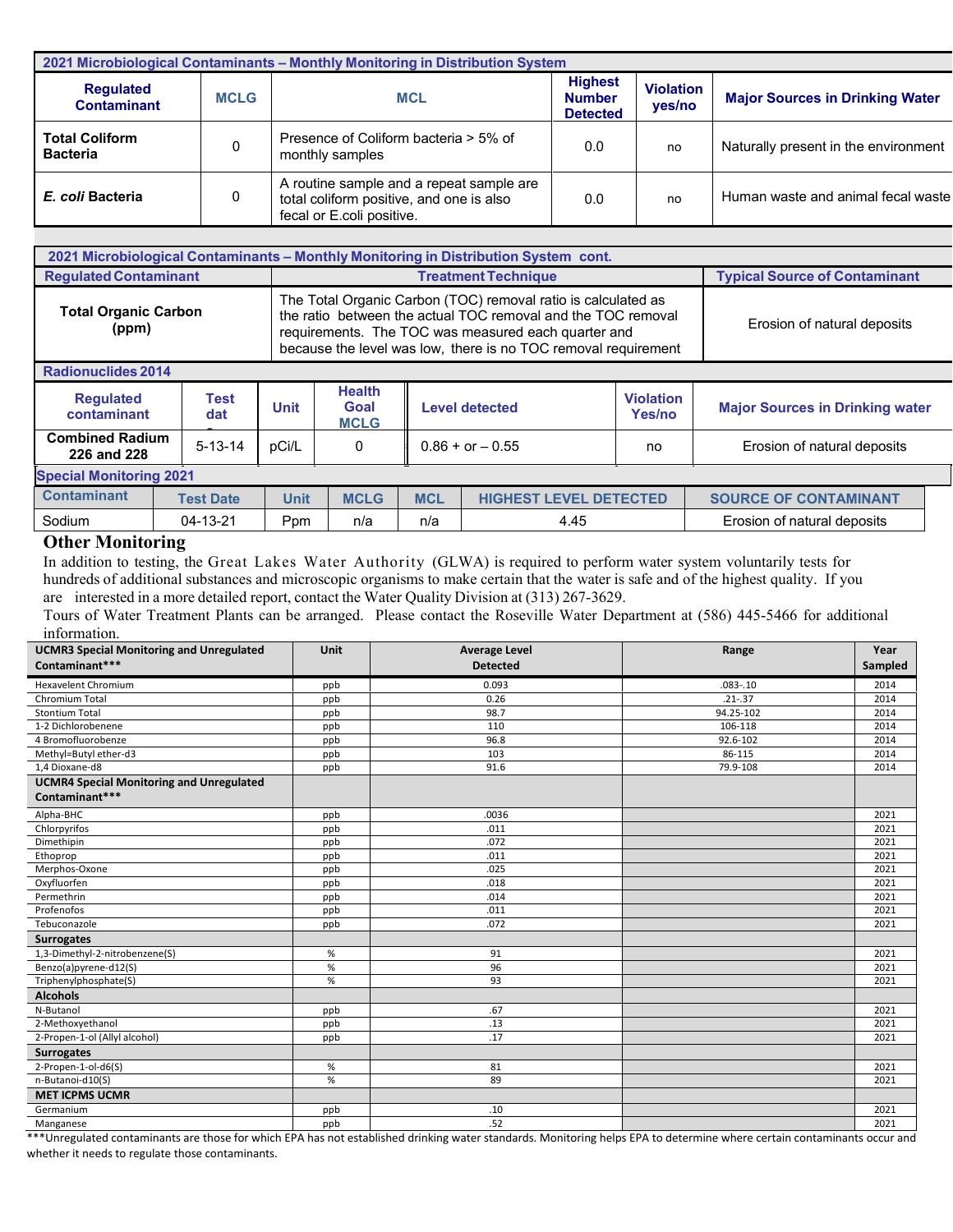| 2021 Microbiological Contaminants – Monthly Monitoring in Distribution System |             |                                                                                                                   |                                                    |                            |                                        |  |  |  |  |  |
|-------------------------------------------------------------------------------|-------------|-------------------------------------------------------------------------------------------------------------------|----------------------------------------------------|----------------------------|----------------------------------------|--|--|--|--|--|
| <b>Regulated</b><br><b>Contaminant</b>                                        | <b>MCLG</b> | <b>MCL</b>                                                                                                        | <b>Highest</b><br><b>Number</b><br><b>Detected</b> | <b>Violation</b><br>yes/no | <b>Major Sources in Drinking Water</b> |  |  |  |  |  |
| <b>Total Coliform</b><br><b>Bacteria</b>                                      | 0           | Presence of Coliform bacteria > 5% of<br>monthly samples                                                          | 0.0                                                | no                         | Naturally present in the environment   |  |  |  |  |  |
| E. coli Bacteria                                                              | 0           | A routine sample and a repeat sample are<br>total coliform positive, and one is also<br>fecal or E.coli positive. | 0.0                                                | no                         | Human waste and animal fecal waste     |  |  |  |  |  |

| 2021 Microbiological Contaminants – Monthly Monitoring in Distribution System cont. |                                                                                                                                                                                                                                                        |                             |  |  |  |  |  |  |
|-------------------------------------------------------------------------------------|--------------------------------------------------------------------------------------------------------------------------------------------------------------------------------------------------------------------------------------------------------|-----------------------------|--|--|--|--|--|--|
| <b>Regulated Contaminant</b>                                                        | <b>Treatment Technique</b>                                                                                                                                                                                                                             |                             |  |  |  |  |  |  |
| <b>Total Organic Carbon</b><br>(ppm)                                                | The Total Organic Carbon (TOC) removal ratio is calculated as<br>the ratio between the actual TOC removal and the TOC removal<br>requirements. The TOC was measured each quarter and<br>because the level was low, there is no TOC removal requirement | Erosion of natural deposits |  |  |  |  |  |  |

| <b>Radionuclides 2014</b>             |                  |             |                                      |                       |                               |                                   |                                        |  |  |
|---------------------------------------|------------------|-------------|--------------------------------------|-----------------------|-------------------------------|-----------------------------------|----------------------------------------|--|--|
| <b>Regulated</b><br>contaminant       | Test<br>dat      | <b>Unit</b> | <b>Health</b><br>Goal<br><b>MCLG</b> | <b>Level detected</b> |                               | <b>Violation</b><br><b>Yes/no</b> | <b>Major Sources in Drinking water</b> |  |  |
| <b>Combined Radium</b><br>226 and 228 | $5 - 13 - 14$    | pCi/L       | 0                                    | $0.86 + or - 0.55$    |                               | no                                | Erosion of natural deposits            |  |  |
| <b>Special Monitoring 2021</b>        |                  |             |                                      |                       |                               |                                   |                                        |  |  |
| <b>Contaminant</b>                    | <b>Test Date</b> | Unit        | <b>MCLG</b>                          | <b>MCL</b>            | <b>HIGHEST LEVEL DETECTED</b> |                                   | <b>SOURCE OF CONTAMINANT</b>           |  |  |
| Sodium                                | 04-13-21         | Ppm         | n/a                                  | n/a                   | 4.45                          |                                   | Erosion of natural deposits            |  |  |

### **Other Monitoring**

In addition to testing, the Great Lakes Water Authority (GLWA) is required to perform water system voluntarily tests for hundreds of additional substances and microscopic organisms to make certain that the water is safe and of the highest quality. If you are interested in a more detailed report, contact the Water Quality Division at (313) 267-3629.

Tours of Water Treatment Plants can be arranged. Please contact the Roseville Water Department at (586) 445-5466 for additional information.

| <b>UCMR3 Special Monitoring and Unregulated</b> | Unit | <b>Average Level</b> | Range        | Year    |
|-------------------------------------------------|------|----------------------|--------------|---------|
| Contaminant***                                  |      | <b>Detected</b>      |              | Sampled |
| <b>Hexavelent Chromium</b>                      | ppb  | 0.093                | $.083 - .10$ | 2014    |
| Chromium Total                                  | ppb  | 0.26                 | $.21 - .37$  | 2014    |
| <b>Stontium Total</b>                           | ppb  | 98.7                 | 94.25-102    | 2014    |
| 1-2 Dichlorobenene                              | ppb  | 110                  | 106-118      | 2014    |
| 4 Bromofluorobenze                              | ppb  | 96.8                 | 92.6-102     | 2014    |
| Methyl=Butyl ether-d3                           | ppb  | 103                  | 86-115       | 2014    |
| 1,4 Dioxane-d8                                  | ppb  | 91.6                 | 79.9-108     | 2014    |
| <b>UCMR4 Special Monitoring and Unregulated</b> |      |                      |              |         |
| Contaminant***                                  |      |                      |              |         |
| Alpha-BHC                                       | ppb  | .0036                |              | 2021    |
| Chlorpyrifos                                    | ppb  | .011                 |              | 2021    |
| Dimethipin                                      | ppb  | .072                 |              | 2021    |
| Ethoprop                                        | ppb  | .011                 |              | 2021    |
| Merphos-Oxone                                   | ppb  | .025                 |              | 2021    |
| Oxyfluorfen                                     | ppb  | .018                 |              | 2021    |
| Permethrin                                      | ppb  | .014                 |              | 2021    |
| Profenofos                                      | ppb  | .011                 |              | 2021    |
| Tebuconazole                                    | ppb  | .072                 |              | 2021    |
| <b>Surrogates</b>                               |      |                      |              |         |
| 1,3-Dimethyl-2-nitrobenzene(S)                  | %    | 91                   |              | 2021    |
| Benzo(a)pyrene-d12(S)                           | %    | 96                   |              | 2021    |
| Triphenylphosphate(S)                           | $\%$ | 93                   |              | 2021    |
| <b>Alcohols</b>                                 |      |                      |              |         |
| N-Butanol                                       | ppb  | .67                  |              | 2021    |
| 2-Methoxyethanol                                | ppb  | .13                  |              | 2021    |
| 2-Propen-1-ol (Allyl alcohol)                   | ppb  | .17                  |              | 2021    |
| <b>Surrogates</b>                               |      |                      |              |         |
| 2-Propen-1-ol-d6(S)                             | $\%$ | 81                   |              | 2021    |
| n-Butanoi-d10(S)                                | $\%$ | 89                   |              | 2021    |
| <b>MET ICPMS UCMR</b>                           |      |                      |              |         |
| Germanium                                       | ppb  | .10                  |              | 2021    |
| Manganese                                       | ppb  | .52                  |              | 2021    |

\*\*\*Unregulated contaminants are those for which EPA has not established drinking water standards. Monitoring helps EPA to determine where certain contaminants occur and whether it needs to regulate those contaminants.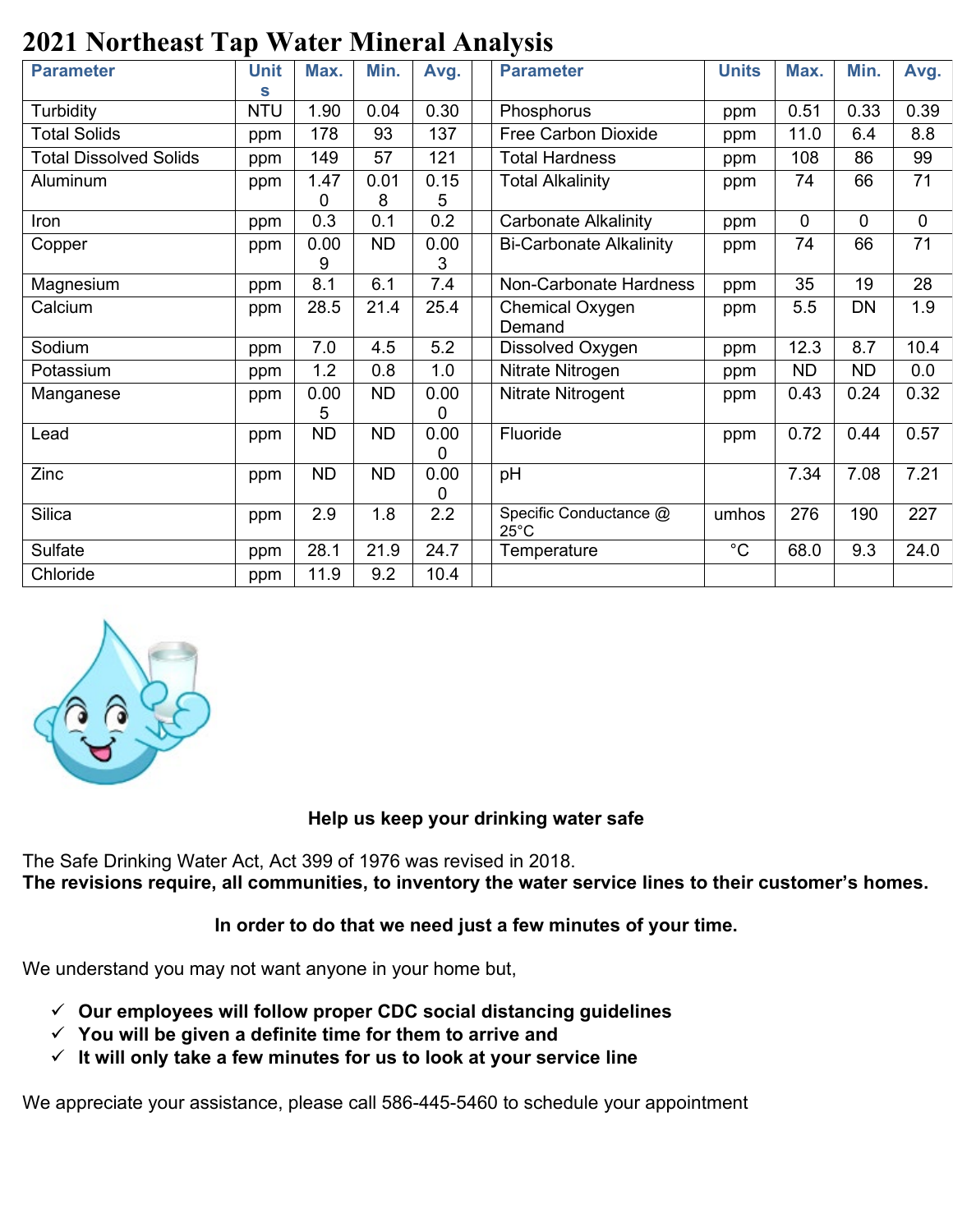# **2021 Northeast Tap Water Mineral Analysis**

| <b>Parameter</b>              | <b>Unit</b> | Max.      | Min.      | Avg. | <b>Parameter</b>               | <b>Units</b> | Max.        | Min.         | Avg.        |
|-------------------------------|-------------|-----------|-----------|------|--------------------------------|--------------|-------------|--------------|-------------|
|                               | s           |           |           |      |                                |              |             |              |             |
| Turbidity                     | <b>NTU</b>  | 1.90      | 0.04      | 0.30 | Phosphorus                     | ppm          | 0.51        | 0.33         | 0.39        |
| <b>Total Solids</b>           | ppm         | 178       | 93        | 137  | <b>Free Carbon Dioxide</b>     | ppm          | 11.0        | 6.4          | 8.8         |
| <b>Total Dissolved Solids</b> | ppm         | 149       | 57        | 121  | <b>Total Hardness</b>          | ppm          | 108         | 86           | 99          |
| Aluminum                      | ppm         | 1.47      | 0.01      | 0.15 | <b>Total Alkalinity</b>        | ppm          | 74          | 66           | 71          |
|                               |             | 0         | 8         | 5    |                                |              |             |              |             |
| Iron                          | ppm         | 0.3       | 0.1       | 0.2  | <b>Carbonate Alkalinity</b>    | ppm          | $\mathbf 0$ | $\mathbf{0}$ | $\mathbf 0$ |
| Copper                        | ppm         | 0.00      | ND.       | 0.00 | <b>Bi-Carbonate Alkalinity</b> | ppm          | 74          | 66           | 71          |
|                               |             | 9         |           | 3    |                                |              |             |              |             |
| Magnesium                     | ppm         | 8.1       | 6.1       | 7.4  | Non-Carbonate Hardness         | ppm          | 35          | 19           | 28          |
| Calcium                       | ppm         | 28.5      | 21.4      | 25.4 | Chemical Oxygen                | ppm          | 5.5         | DN           | 1.9         |
|                               |             |           |           |      | Demand                         |              |             |              |             |
| Sodium                        | ppm         | 7.0       | 4.5       | 5.2  | Dissolved Oxygen               | ppm          | 12.3        | 8.7          | 10.4        |
| Potassium                     | ppm         | 1.2       | 0.8       | 1.0  | Nitrate Nitrogen               | ppm          | <b>ND</b>   | <b>ND</b>    | 0.0         |
| Manganese                     | ppm         | 0.00      | <b>ND</b> | 0.00 | Nitrate Nitrogent              | ppm          | 0.43        | 0.24         | 0.32        |
|                               |             | 5         |           | 0    |                                |              |             |              |             |
| Lead                          | ppm         | <b>ND</b> | <b>ND</b> | 0.00 | Fluoride                       | ppm          | 0.72        | 0.44         | 0.57        |
|                               |             |           |           | 0    |                                |              |             |              |             |
| Zinc                          | ppm         | <b>ND</b> | <b>ND</b> | 0.00 | pH                             |              | 7.34        | 7.08         | 7.21        |
|                               |             |           |           | 0    |                                |              |             |              |             |
| Silica                        | ppm         | 2.9       | 1.8       | 2.2  | Specific Conductance @         | umhos        | 276         | 190          | 227         |
|                               |             |           |           |      | $25^{\circ}$ C                 |              |             |              |             |
| <b>Sulfate</b>                | ppm         | 28.1      | 21.9      | 24.7 | Temperature                    | $^{\circ}$ C | 68.0        | 9.3          | 24.0        |
| Chloride                      | ppm         | 11.9      | 9.2       | 10.4 |                                |              |             |              |             |
|                               |             |           |           |      |                                |              |             |              |             |



# **Help us keep your drinking water safe**

The Safe Drinking Water Act, Act 399 of 1976 was revised in 2018. **The revisions require, all communities, to inventory the water service lines to their customer's homes.**

# **In order to do that we need just a few minutes of your time.**

We understand you may not want anyone in your home but,

- **Our employees will follow proper CDC social distancing guidelines**
- **You will be given a definite time for them to arrive and**
- **It will only take a few minutes for us to look at your service line**

We appreciate your assistance, please call 586-445-5460 to schedule your appointment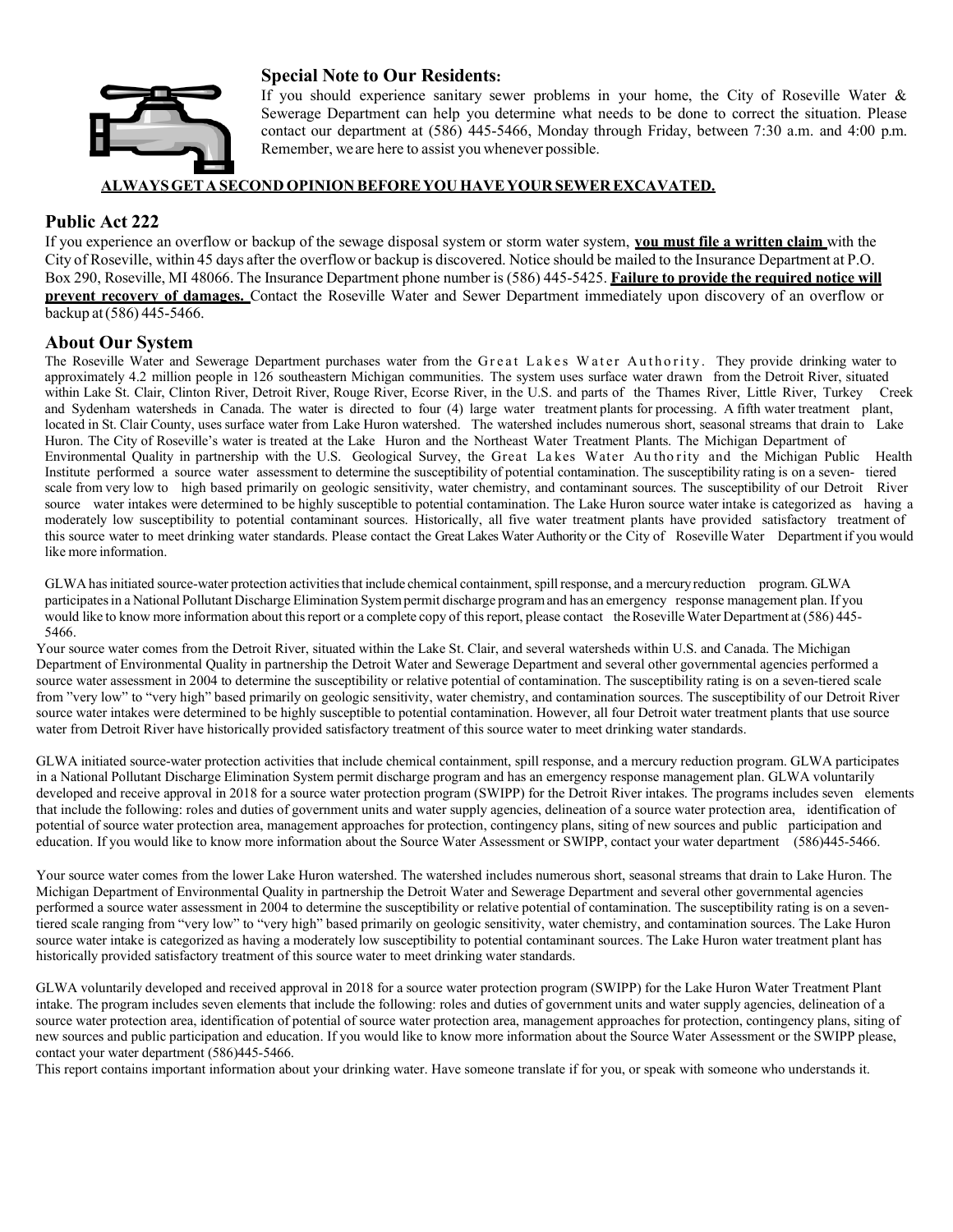### **Special Note to Our Residents:**



If you should experience sanitary sewer problems in your home, the City of Roseville Water & Sewerage Department can help you determine what needs to be done to correct the situation. Please contact our department at (586) 445-5466, Monday through Friday, between 7:30 a.m. and 4:00 p.m. Remember, weare here to assist you whenever possible.

#### **ALWAYSGET A SECOND OPINION BEFOREYOU HAVEYOUR SEWER EXCAVATED.**

## **Public Act 222**

If you experience an overflow or backup of the sewage disposal system or storm water system, **you must file a written claim** with the City of Roseville, within 45 days after the overflowor backup is discovered. Notice should be mailed to the Insurance Department at P.O. Box 290, Roseville, MI 48066. The Insurance Department phone number is (586) 445-5425. **Failure to provide the required notice will prevent recovery of damages.** Contact the Roseville Water and Sewer Department immediately upon discovery of an overflow or backup at(586) 445-5466.

## **About Our System**

The Roseville Water and Sewerage Department purchases water from the Great Lakes Water Authority. They provide drinking water to approximately 4.2 million people in 126 southeastern Michigan communities. The system uses surface water drawn from the Detroit River, situated within Lake St. Clair, Clinton River, Detroit River, Rouge River, Ecorse River, in the U.S. and parts of the Thames River, Little River, Turkey Creek and Sydenham watersheds in Canada. The water is directed to four (4) large water treatment plants for processing. A fifth water treatment plant, located in St. Clair County, uses surface water from Lake Huron watershed. The watershed includes numerous short, seasonal streams that drain to Lake Huron. The City of Roseville's water is treated at the Lake Huron and the Northeast Water Treatment Plants. The Michigan Department of Environmental Quality in partnership with the U.S. Geological Survey, the Great Lakes Water Au tho rity and the Michigan Public Health Institute performed a source water assessment to determine the susceptibility of potential contamination. The susceptibility rating is on a seven- tiered scale from very low to high based primarily on geologic sensitivity, water chemistry, and contaminant sources. The susceptibility of our Detroit River source water intakes were determined to be highly susceptible to potential contamination. The Lake Huron source water intake is categorized as having a moderately low susceptibility to potential contaminant sources. Historically, all five water treatment plants have provided satisfactory treatment of this source water to meet drinking water standards. Please contact the Great Lakes Water Authority or the City of RosevilleWater Department if you would like more information.

GLWA has initiated source-water protection activities that include chemical containment, spill response, and a mercury reduction program. GLWA participatesin a National Pollutant Discharge Elimination Systempermit discharge programand has an emergency response management plan. If you would like to know more information about this report or a complete copy of this report, please contact the Roseville Water Department at (586) 445-5466.

Your source water comes from the Detroit River, situated within the Lake St. Clair, and several watersheds within U.S. and Canada. The Michigan Department of Environmental Quality in partnership the Detroit Water and Sewerage Department and several other governmental agencies performed a source water assessment in 2004 to determine the susceptibility or relative potential of contamination. The susceptibility rating is on a seven-tiered scale from "very low" to "very high" based primarily on geologic sensitivity, water chemistry, and contamination sources. The susceptibility of our Detroit River source water intakes were determined to be highly susceptible to potential contamination. However, all four Detroit water treatment plants that use source water from Detroit River have historically provided satisfactory treatment of this source water to meet drinking water standards.

GLWA initiated source-water protection activities that include chemical containment, spill response, and a mercury reduction program. GLWA participates in a National Pollutant Discharge Elimination System permit discharge program and has an emergency response management plan. GLWA voluntarily developed and receive approval in 2018 for a source water protection program (SWIPP) for the Detroit River intakes. The programs includes seven elements that include the following: roles and duties of government units and water supply agencies, delineation of a source water protection area, identification of potential of source water protection area, management approaches for protection, contingency plans, siting of new sources and public participation and education. If you would like to know more information about the Source Water Assessment or SWIPP, contact your water department (586)445-5466.

Your source water comes from the lower Lake Huron watershed. The watershed includes numerous short, seasonal streams that drain to Lake Huron. The Michigan Department of Environmental Quality in partnership the Detroit Water and Sewerage Department and several other governmental agencies performed a source water assessment in 2004 to determine the susceptibility or relative potential of contamination. The susceptibility rating is on a seventiered scale ranging from "very low" to "very high" based primarily on geologic sensitivity, water chemistry, and contamination sources. The Lake Huron source water intake is categorized as having a moderately low susceptibility to potential contaminant sources. The Lake Huron water treatment plant has historically provided satisfactory treatment of this source water to meet drinking water standards.

GLWA voluntarily developed and received approval in 2018 for a source water protection program (SWIPP) for the Lake Huron Water Treatment Plant intake. The program includes seven elements that include the following: roles and duties of government units and water supply agencies, delineation of a source water protection area, identification of potential of source water protection area, management approaches for protection, contingency plans, siting of new sources and public participation and education. If you would like to know more information about the Source Water Assessment or the SWIPP please, contact your water department (586)445-5466.

This report contains important information about your drinking water. Have someone translate if for you, or speak with someone who understands it.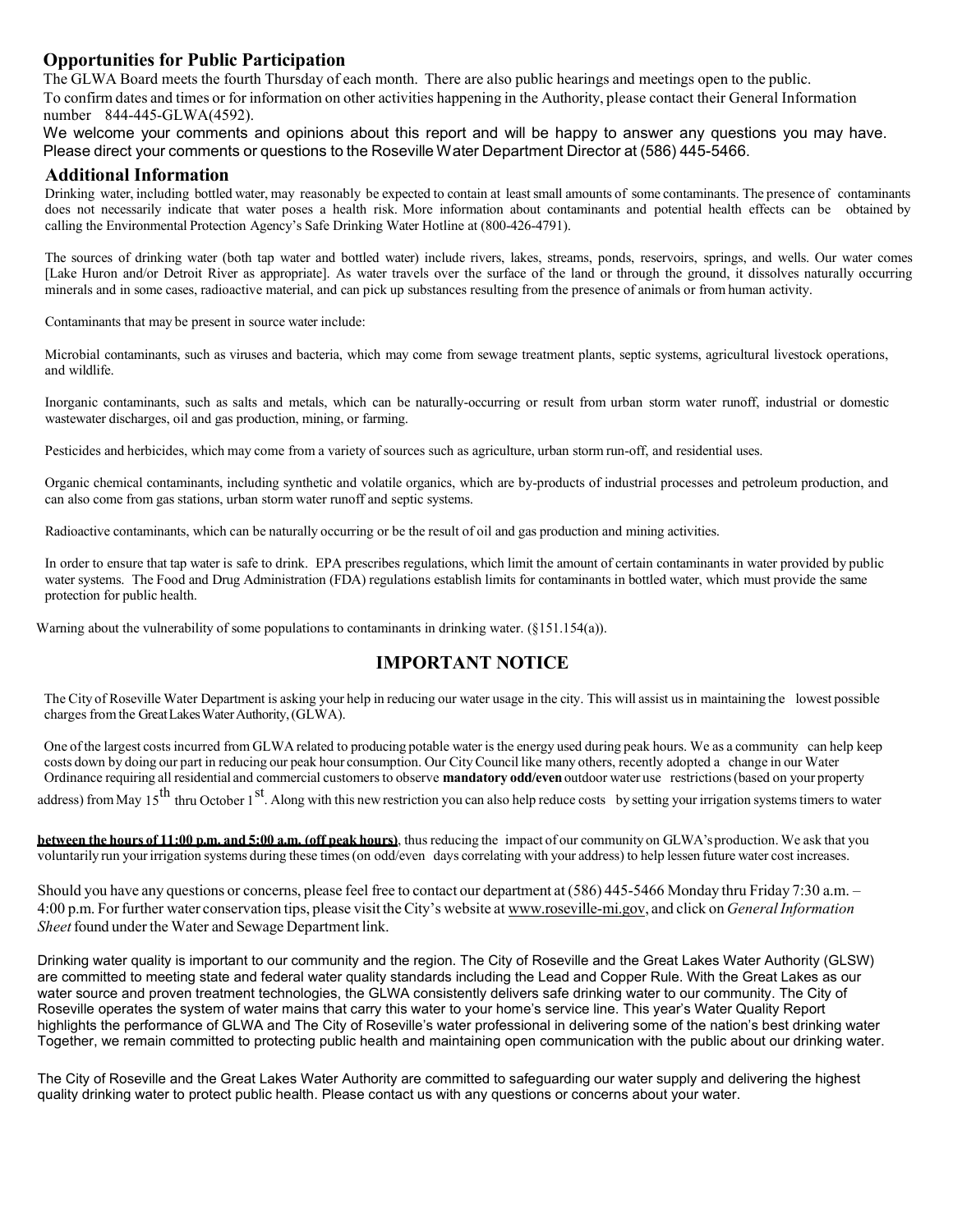## **Opportunities for Public Participation**

The GLWA Board meets the fourth Thursday of each month. There are also public hearings and meetings open to the public.

To confirm dates and times or for information on other activities happening in the Authority, please contact their General Information number 844-445-GLWA(4592).

We welcome your comments and opinions about this report and will be happy to answer any questions you may have. Please direct your comments or questions to the Roseville W ater Department Director at (586) 445-5466.

#### **Additional Information**

Drinking water, including bottled water, may reasonably be expected to contain at least small amounts of some contaminants. The presence of contaminants does not necessarily indicate that water poses a health risk. More information about contaminants and potential health effects can be obtained by calling the Environmental Protection Agency's Safe Drinking Water Hotline at (800-426-4791).

The sources of drinking water (both tap water and bottled water) include rivers, lakes, streams, ponds, reservoirs, springs, and wells. Our water comes [Lake Huron and/or Detroit River as appropriate]. As water travels over the surface of the land or through the ground, it dissolves naturally occurring minerals and in some cases, radioactive material, and can pick up substances resulting from the presence of animals or from human activity.

Contaminants that may be present in source water include:

Microbial contaminants, such as viruses and bacteria, which may come from sewage treatment plants, septic systems, agricultural livestock operations, and wildlife.

Inorganic contaminants, such as salts and metals, which can be naturally-occurring or result from urban storm water runoff, industrial or domestic wastewater discharges, oil and gas production, mining, or farming.

Pesticides and herbicides, which may come from a variety of sources such as agriculture, urban storm run-off, and residential uses.

Organic chemical contaminants, including synthetic and volatile organics, which are by-products of industrial processes and petroleum production, and can also come from gas stations, urban storm water runoff and septic systems.

Radioactive contaminants, which can be naturally occurring or be the result of oil and gas production and mining activities.

In order to ensure that tap water is safe to drink. EPA prescribes regulations, which limit the amount of certain contaminants in water provided by public water systems. The Food and Drug Administration (FDA) regulations establish limits for contaminants in bottled water, which must provide the same protection for public health.

Warning about the vulnerability of some populations to contaminants in drinking water. (§151.154(a)).

## **IMPORTANT NOTICE**

The City of Roseville Water Department is asking your help in reducing our water usage in the city. This will assist usin maintaining the lowest possible charges fromthe GreatLakesWaterAuthority,(GLWA).

address) from May 15<sup>th</sup> thru October 1<sup>st</sup>. Along with this new restriction you can also help reduce costs by setting your irrigation systems timers to water One ofthe largest costs incurred from GLWA related to producing potable water isthe energy used during peak hours. We as a community can help keep costs down by doing our part in reducing our peak hour consumption. Our CityCouncil like many others, recently adopted a change in our Water Ordinance requiring all residential and commercial customersto observe **mandatory odd/even**outdoor water use restrictions(based on your property

between the hours of 11:00 p.m. and 5:00 a.m. (off peak hours), thus reducing the impact of our community on GLWA's production. We ask that you voluntarily run yourirrigation systems during these times (on odd/even days correlating with your address) to help lessen future water cost increases.

Should you have any questions or concerns, please feel free to contact our department at (586) 445-5466 Monday thru Friday 7:30 a.m. – 4:00 p.m. Forfurther water conservation tips, please visit the City's website at [www.roseville-mi.gov,](http://www.roseville-mi.gov/) and click on *GeneralInformation Sheet*found under the Water and Sewage Department link.

Drinking water quality is important to our community and the region. The City of Roseville and the Great Lakes Water Authority (GLSW) are committed to meeting state and federal water quality standards including the Lead and Copper Rule. With the Great Lakes as our water source and proven treatment technologies, the GLWA consistently delivers safe drinking water to our community. The City of Roseville operates the system of water mains that carry this water to your home's service line. This year's Water Quality Report highlights the performance of GLWA and The City of Roseville's water professional in delivering some of the nation's best drinking water Together, we remain committed to protecting public health and maintaining open communication with the public about our drinking water.

The City of Roseville and the Great Lakes Water Authority are committed to safeguarding our water supply and delivering the highest quality drinking water to protect public health. Please contact us with any questions or concerns about your water.